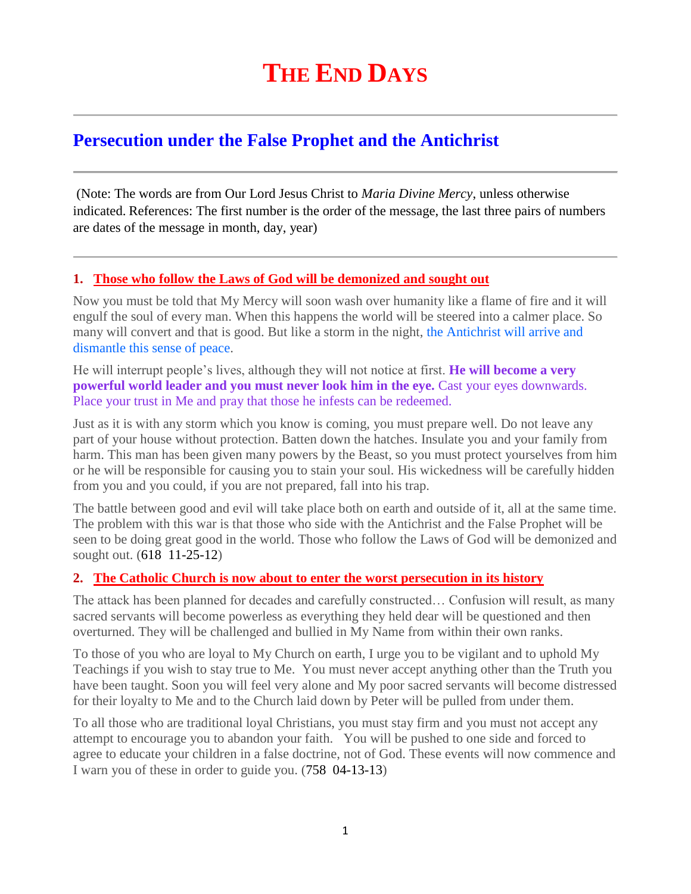# **Persecution under the False Prophet and the Antichrist**

(Note: The words are from Our Lord Jesus Christ to *Maria Divine Mercy*, unless otherwise indicated. References: The first number is the order of the message, the last three pairs of numbers are dates of the message in month, day, year)

## **1. [Those who follow the Laws of God will be demonized and sought out](http://www.thewarningsecondcoming.com/those-who-follow-the-laws-of-god-will-be-demonised-and-sought-out/)**

Now you must be told that My Mercy will soon wash over humanity like a flame of fire and it will engulf the soul of every man. When this happens the world will be steered into a calmer place. So many will convert and that is good. But like a storm in the night, the Antichrist will arrive and dismantle this sense of peace.

He will interrupt people's lives, although they will not notice at first. **He will become a very powerful world leader and you must never look him in the eye.** Cast your eyes downwards. Place your trust in Me and pray that those he infests can be redeemed.

Just as it is with any storm which you know is coming, you must prepare well. Do not leave any part of your house without protection. Batten down the hatches. Insulate you and your family from harm. This man has been given many powers by the Beast, so you must protect yourselves from him or he will be responsible for causing you to stain your soul. His wickedness will be carefully hidden from you and you could, if you are not prepared, fall into his trap.

The battle between good and evil will take place both on earth and outside of it, all at the same time. The problem with this war is that those who side with the Antichrist and the False Prophet will be seen to be doing great good in the world. Those who follow the Laws of God will be demonized and sought out. (618 11-25-12)

## **2. The Catholic Church is [now about to enter the worst persecution in its history](http://www.thewarningsecondcoming.com/the-catholic-church-is-now-about-to-enter-the-worst-persecution-in-its-history/)**

The attack has been planned for decades and carefully constructed… Confusion will result, as many sacred servants will become powerless as everything they held dear will be questioned and then overturned. They will be challenged and bullied in My Name from within their own ranks.

To those of you who are loyal to My Church on earth, I urge you to be vigilant and to uphold My Teachings if you wish to stay true to Me. You must never accept anything other than the Truth you have been taught. Soon you will feel very alone and My poor sacred servants will become distressed for their loyalty to Me and to the Church laid down by Peter will be pulled from under them.

To all those who are traditional loyal Christians, you must stay firm and you must not accept any attempt to encourage you to abandon your faith. You will be pushed to one side and forced to agree to educate your children in a false doctrine, not of God. These events will now commence and I warn you of these in order to guide you. (758 04-13-13)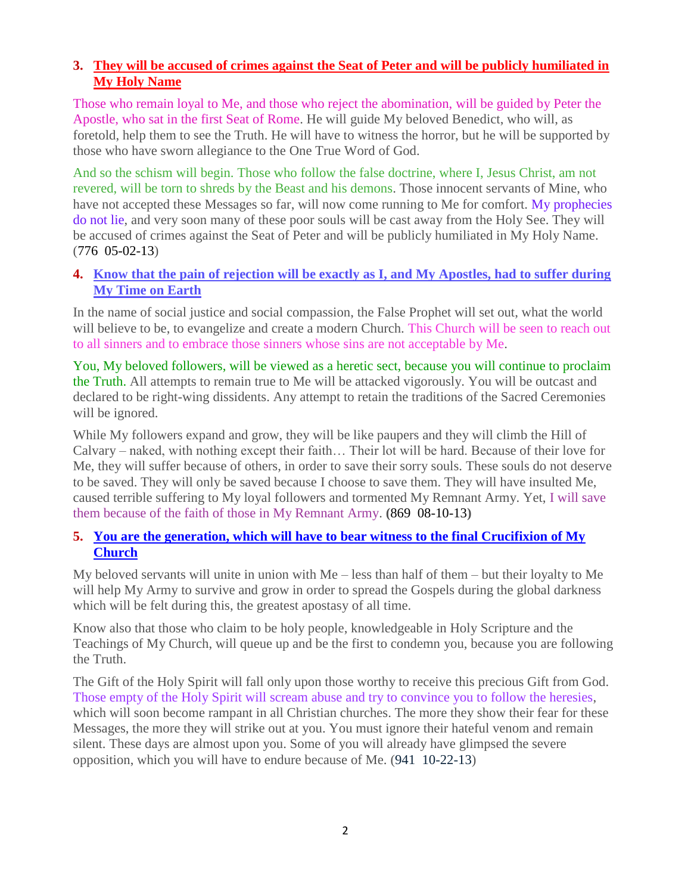# **3. [They will be accused of crimes against the Seat of Peter and will be publicly humiliated in](http://www.thewarningsecondcoming.com/they-will-be-accused-of-crimes-against-the-seat-of-peter-and-will-be-publicly-humiliated-in-my-holy-name/)  [My Holy Name](http://www.thewarningsecondcoming.com/they-will-be-accused-of-crimes-against-the-seat-of-peter-and-will-be-publicly-humiliated-in-my-holy-name/)**

Those who remain loyal to Me, and those who reject the abomination, will be guided by Peter the Apostle, who sat in the first Seat of Rome. He will guide My beloved Benedict, who will, as foretold, help them to see the Truth. He will have to witness the horror, but he will be supported by those who have sworn allegiance to the One True Word of God.

And so the schism will begin. Those who follow the false doctrine, where I, Jesus Christ, am not revered, will be torn to shreds by the Beast and his demons. Those innocent servants of Mine, who have not accepted these Messages so far, will now come running to Me for comfort. My prophecies do not lie, and very soon many of these poor souls will be cast away from the Holy See. They will be accused of crimes against the Seat of Peter and will be publicly humiliated in My Holy Name. (776 05-02-13)

# **4. [Know that the pain of rejection will be exactly as I, and My Apostles, had to suffer during](http://www.thewarningsecondcoming.com/know-that-the-pain-of-rejection-will-be-exactly-as-i-and-my-apostles-had-to-suffer-during-my-time-on-earth/)  [My Time on Earth](http://www.thewarningsecondcoming.com/know-that-the-pain-of-rejection-will-be-exactly-as-i-and-my-apostles-had-to-suffer-during-my-time-on-earth/)**

In the name of social justice and social compassion, the False Prophet will set out, what the world will believe to be, to evangelize and create a modern Church. This Church will be seen to reach out to all sinners and to embrace those sinners whose sins are not acceptable by Me.

You, My beloved followers, will be viewed as a heretic sect, because you will continue to proclaim the Truth. All attempts to remain true to Me will be attacked vigorously. You will be outcast and declared to be right-wing dissidents. Any attempt to retain the traditions of the Sacred Ceremonies will be ignored.

While My followers expand and grow, they will be like paupers and they will climb the Hill of Calvary – naked, with nothing except their faith… Their lot will be hard. Because of their love for Me, they will suffer because of others, in order to save their sorry souls. These souls do not deserve to be saved. They will only be saved because I choose to save them. They will have insulted Me, caused terrible suffering to My loyal followers and tormented My Remnant Army. Yet, I will save them because of the faith of those in My Remnant Army. **(**869 08-10-13**)**

# **5. [You are the generation, which will have to bear witness to the final Crucifixion of My](http://www.thewarningsecondcoming.com/you-are-the-generation-which-will-have-to-bear-witness-to-the-final-crucifixion-of-my-church/)  [Church](http://www.thewarningsecondcoming.com/you-are-the-generation-which-will-have-to-bear-witness-to-the-final-crucifixion-of-my-church/)**

My beloved servants will unite in union with Me – less than half of them – but their loyalty to Me will help My Army to survive and grow in order to spread the Gospels during the global darkness which will be felt during this, the greatest apostasy of all time.

Know also that those who claim to be holy people, knowledgeable in Holy Scripture and the Teachings of My Church, will queue up and be the first to condemn you, because you are following the Truth.

The Gift of the Holy Spirit will fall only upon those worthy to receive this precious Gift from God. Those empty of the Holy Spirit will scream abuse and try to convince you to follow the heresies, which will soon become rampant in all Christian churches. The more they show their fear for these Messages, the more they will strike out at you. You must ignore their hateful venom and remain silent. These days are almost upon you. Some of you will already have glimpsed the severe opposition, which you will have to endure because of Me. (941 10-22-13)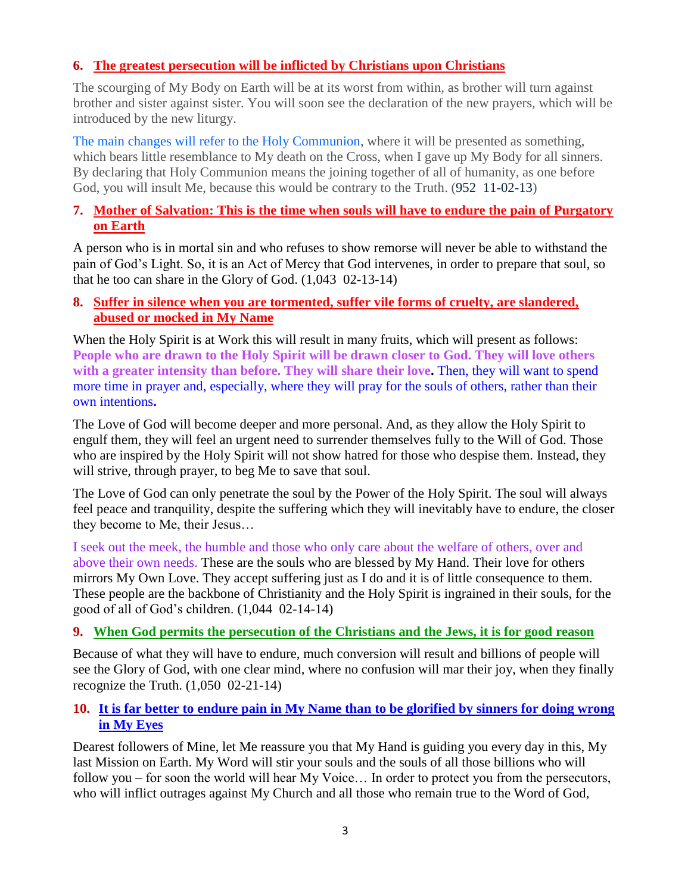# **6. [The greatest persecution will be inflicted by Christians upon Christians](http://www.thewarningsecondcoming.com/the-greatest-persecution-will-be-inflicted-by-christians-upon-christians/)**

The scourging of My Body on Earth will be at its worst from within, as brother will turn against brother and sister against sister. You will soon see the declaration of the new prayers, which will be introduced by the new liturgy.

The main changes will refer to the Holy Communion, where it will be presented as something, which bears little resemblance to My death on the Cross, when I gave up My Body for all sinners. By declaring that Holy Communion means the joining together of all of humanity, as one before God, you will insult Me, because this would be contrary to the Truth. (952 11-02-13)

# **7. [Mother of Salvation: This is the time when souls will have to endure the pain of Purgatory](http://www.thewarningsecondcoming.com/mother-of-salvation-this-is-the-time-when-souls-will-have-to-endure-the-pain-of-purgatory-on-earth/)  [on Earth](http://www.thewarningsecondcoming.com/mother-of-salvation-this-is-the-time-when-souls-will-have-to-endure-the-pain-of-purgatory-on-earth/)**

A person who is in mortal sin and who refuses to show remorse will never be able to withstand the pain of God's Light. So, it is an Act of Mercy that God intervenes, in order to prepare that soul, so that he too can share in the Glory of God. (1,043 02-13-14)

#### **8. [Suffer in silence when you are tormented, suffer vile forms of cruelty, are slandered,](http://www.thewarningsecondcoming.com/suffer-in-silence-when-you-are-tormented-suffer-vile-forms-of-cruelty-are-slandered-abused-or-mocked-in-my-name/)  abused or [mocked in My Name](http://www.thewarningsecondcoming.com/suffer-in-silence-when-you-are-tormented-suffer-vile-forms-of-cruelty-are-slandered-abused-or-mocked-in-my-name/)**

When the Holy Spirit is at Work this will result in many fruits, which will present as follows: **People who are drawn to the Holy Spirit will be drawn closer to God. They will love others with a greater intensity than before. They will share their love.** Then, they will want to spend more time in prayer and, especially, where they will pray for the souls of others, rather than their own intentions**.**

The Love of God will become deeper and more personal. And, as they allow the Holy Spirit to engulf them, they will feel an urgent need to surrender themselves fully to the Will of God. Those who are inspired by the Holy Spirit will not show hatred for those who despise them. Instead, they will strive, through prayer, to beg Me to save that soul.

The Love of God can only penetrate the soul by the Power of the Holy Spirit. The soul will always feel peace and tranquility, despite the suffering which they will inevitably have to endure, the closer they become to Me, their Jesus…

I seek out the meek, the humble and those who only care about the welfare of others, over and above their own needs. These are the souls who are blessed by My Hand. Their love for others mirrors My Own Love. They accept suffering just as I do and it is of little consequence to them. These people are the backbone of Christianity and the Holy Spirit is ingrained in their souls, for the good of all of God's children. (1,044 02-14-14)

## **9. [When God permits the persecution of the Christians and the Jews, it is for good reason](http://www.thewarningsecondcoming.com/when-god-permits-the-persecution-of-the-christians-and-the-jews-it-is-for-good-reason/)**

Because of what they will have to endure, much conversion will result and billions of people will see the Glory of God, with one clear mind, where no confusion will mar their joy, when they finally recognize the Truth. (1,050 02-21-14)

# **10. [It is far better to endure pain in My Name than to be glorified by sinners for doing wrong](http://www.thewarningsecondcoming.com/it-is-far-better-to-endure-pain-in-my-name-than-to-be-glorified-by-sinners-for-doing-wrong-in-my-eyes/)  [in My Eyes](http://www.thewarningsecondcoming.com/it-is-far-better-to-endure-pain-in-my-name-than-to-be-glorified-by-sinners-for-doing-wrong-in-my-eyes/)**

Dearest followers of Mine, let Me reassure you that My Hand is guiding you every day in this, My last Mission on Earth. My Word will stir your souls and the souls of all those billions who will follow you – for soon the world will hear My Voice... In order to protect you from the persecutors, who will inflict outrages against My Church and all those who remain true to the Word of God,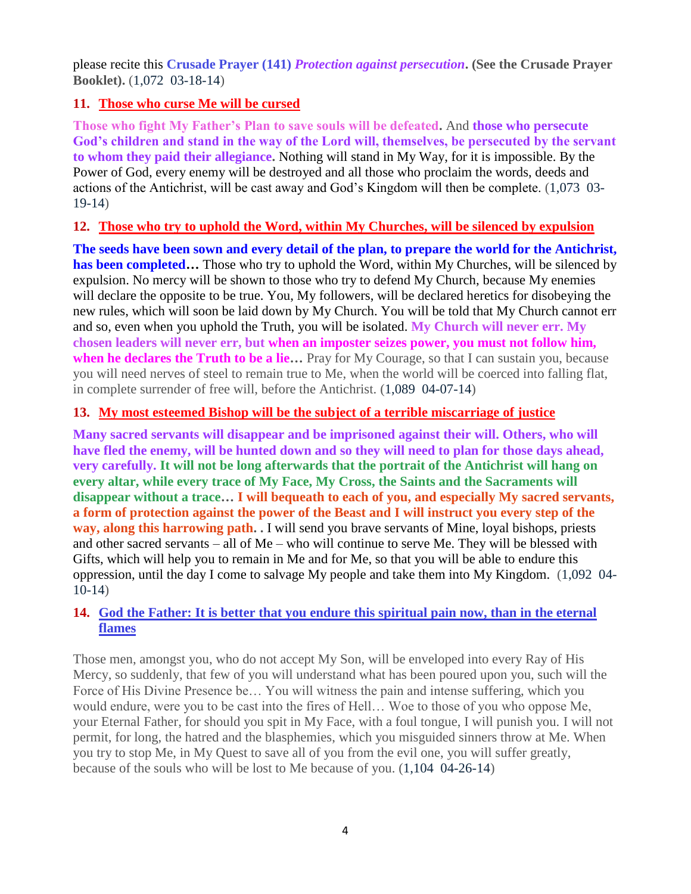please recite this **Crusade Prayer (141)** *Protection against persecution***. (See the Crusade Prayer Booklet).** (1,072 03-18-14)

# **11. [Those who curse Me will be cursed](http://www.thewarningsecondcoming.com/those-who-curse-me-will-be-cursed/)**

**Those who fight My Father's Plan to save souls will be defeated.** And **those who persecute God's children and stand in the way of the Lord will, themselves, be persecuted by the servant to whom they paid their allegiance.** Nothing will stand in My Way, for it is impossible. By the Power of God, every enemy will be destroyed and all those who proclaim the words, deeds and actions of the Antichrist, will be cast away and God's Kingdom will then be complete. (1,073 03- 19-14)

# **12. [Those who try to uphold the Word, within My Churches, will be silenced by expulsion](http://www.thewarningsecondcoming.com/those-who-try-to-uphold-the-word-within-my-churches-will-be-silenced-by-expulsion/)**

**The seeds have been sown and every detail of the plan, to prepare the world for the Antichrist, has been completed…** Those who try to uphold the Word, within My Churches, will be silenced by expulsion. No mercy will be shown to those who try to defend My Church, because My enemies will declare the opposite to be true. You, My followers, will be declared heretics for disobeying the new rules, which will soon be laid down by My Church. You will be told that My Church cannot err and so, even when you uphold the Truth, you will be isolated. **My Church will never err. My chosen leaders will never err, but when an imposter seizes power, you must not follow him, when he declares the Truth to be a lie…** Pray for My Courage, so that I can sustain you, because you will need nerves of steel to remain true to Me, when the world will be coerced into falling flat, in complete surrender of free will, before the Antichrist. (1,089 04-07-14)

# **13. [My most esteemed Bishop will be the subject of a terrible miscarriage of justice](http://www.thewarningsecondcoming.com/my-most-esteemed-bishop-will-be-the-subject-of-a-terrible-miscarriage-of-justice/)**

**Many sacred servants will disappear and be imprisoned against their will. Others, who will have fled the enemy, will be hunted down and so they will need to plan for those days ahead, very carefully. It will not be long afterwards that the portrait of the Antichrist will hang on every altar, while every trace of My Face, My Cross, the Saints and the Sacraments will disappear without a trace… I will bequeath to each of you, and especially My sacred servants, a form of protection against the power of the Beast and I will instruct you every step of the way, along this harrowing path. .** I will send you brave servants of Mine, loyal bishops, priests and other sacred servants – all of Me – who will continue to serve Me. They will be blessed with Gifts, which will help you to remain in Me and for Me, so that you will be able to endure this oppression, until the day I come to salvage My people and take them into My Kingdom. (1,092 04- 10-14)

# **14. [God the Father: It is better that you endure this spiritual pain now, than in the eternal](http://www.thewarningsecondcoming.com/much-will-be-revealed-to-gods-children-before-the-great-day-of-the-lord/)  [flames](http://www.thewarningsecondcoming.com/much-will-be-revealed-to-gods-children-before-the-great-day-of-the-lord/)**

Those men, amongst you, who do not accept My Son, will be enveloped into every Ray of His Mercy, so suddenly, that few of you will understand what has been poured upon you, such will the Force of His Divine Presence be… You will witness the pain and intense suffering, which you would endure, were you to be cast into the fires of Hell… Woe to those of you who oppose Me, your Eternal Father, for should you spit in My Face, with a foul tongue, I will punish you. I will not permit, for long, the hatred and the blasphemies, which you misguided sinners throw at Me. When you try to stop Me, in My Quest to save all of you from the evil one, you will suffer greatly, because of the souls who will be lost to Me because of you. (1,104 04-26-14)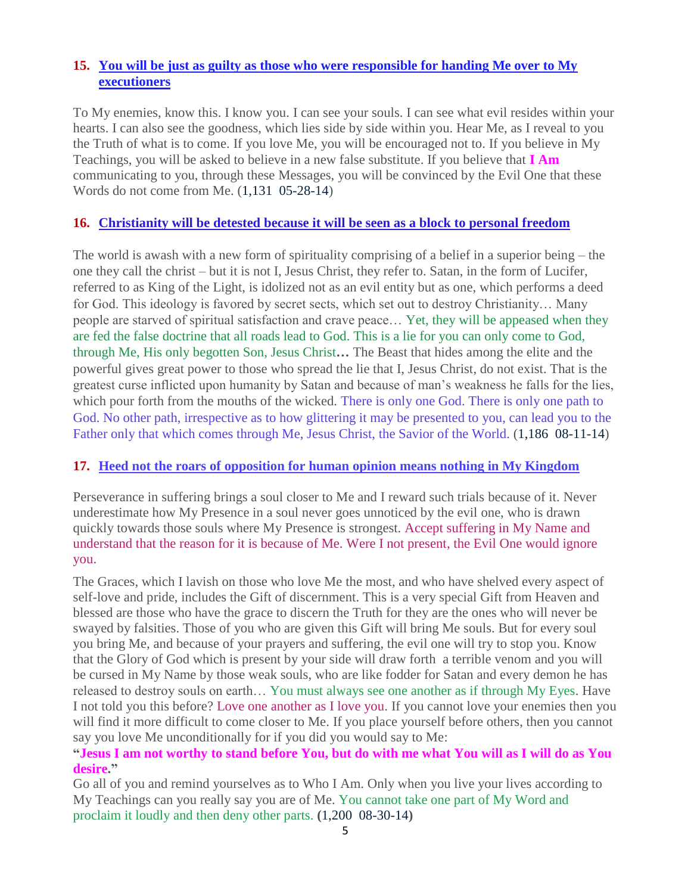# **15. [You will be just as guilty as those who were responsible for handing Me over to My](http://www.thewarningsecondcoming.com/you-will-be-just-as-guilty-as-those-who-were-responsible-for-handing-me-over-to-my-executioners/)  [executioners](http://www.thewarningsecondcoming.com/you-will-be-just-as-guilty-as-those-who-were-responsible-for-handing-me-over-to-my-executioners/)**

To My enemies, know this. I know you. I can see your souls. I can see what evil resides within your hearts. I can also see the goodness, which lies side by side within you. Hear Me, as I reveal to you the Truth of what is to come. If you love Me, you will be encouraged not to. If you believe in My Teachings, you will be asked to believe in a new false substitute. If you believe that **I Am** communicating to you, through these Messages, you will be convinced by the Evil One that these Words do not come from Me. (1,131 05-28-14)

## **16. [Christianity will be detested because it will be seen as a block to personal freedom](http://www.thewarningsecondcoming.com/christianity-will-be-detested-because-it-will-be-seen-as-a-block-to-personal-freedom/)**

The world is awash with a new form of spirituality comprising of a belief in a superior being – the one they call the christ – but it is not I, Jesus Christ, they refer to. Satan, in the form of Lucifer, referred to as King of the Light, is idolized not as an evil entity but as one, which performs a deed for God. This ideology is favored by secret sects, which set out to destroy Christianity… Many people are starved of spiritual satisfaction and crave peace… Yet, they will be appeased when they are fed the false doctrine that all roads lead to God. This is a lie for you can only come to God, through Me, His only begotten Son, Jesus Christ**…** The Beast that hides among the elite and the powerful gives great power to those who spread the lie that I, Jesus Christ, do not exist. That is the greatest curse inflicted upon humanity by Satan and because of man's weakness he falls for the lies, which pour forth from the mouths of the wicked. There is only one God. There is only one path to God. No other path, irrespective as to how glittering it may be presented to you, can lead you to the Father only that which comes through Me, Jesus Christ, the Savior of the World. (1,186 08-11-14)

## **17. [Heed not the roars of opposition for human opinion means nothing in My Kingdom](http://www.thewarningsecondcoming.com/heed-not-the-roars-of-opposition-for-human-opinion-means-nothing-in-my-kingdom/)**

Perseverance in suffering brings a soul closer to Me and I reward such trials because of it. Never underestimate how My Presence in a soul never goes unnoticed by the evil one, who is drawn quickly towards those souls where My Presence is strongest. Accept suffering in My Name and understand that the reason for it is because of Me. Were I not present, the Evil One would ignore you.

The Graces, which I lavish on those who love Me the most, and who have shelved every aspect of self-love and pride, includes the Gift of discernment. This is a very special Gift from Heaven and blessed are those who have the grace to discern the Truth for they are the ones who will never be swayed by falsities. Those of you who are given this Gift will bring Me souls. But for every soul you bring Me, and because of your prayers and suffering, the evil one will try to stop you. Know that the Glory of God which is present by your side will draw forth a terrible venom and you will be cursed in My Name by those weak souls, who are like fodder for Satan and every demon he has released to destroy souls on earth… You must always see one another as if through My Eyes. Have I not told you this before? Love one another as I love you. If you cannot love your enemies then you will find it more difficult to come closer to Me. If you place yourself before others, then you cannot say you love Me unconditionally for if you did you would say to Me:

#### **"Jesus I am not worthy to stand before You, but do with me what You will as I will do as You desire."**

Go all of you and remind yourselves as to Who I Am. Only when you live your lives according to My Teachings can you really say you are of Me. You cannot take one part of My Word and proclaim it loudly and then deny other parts. **(**1,200 08-30-14**)**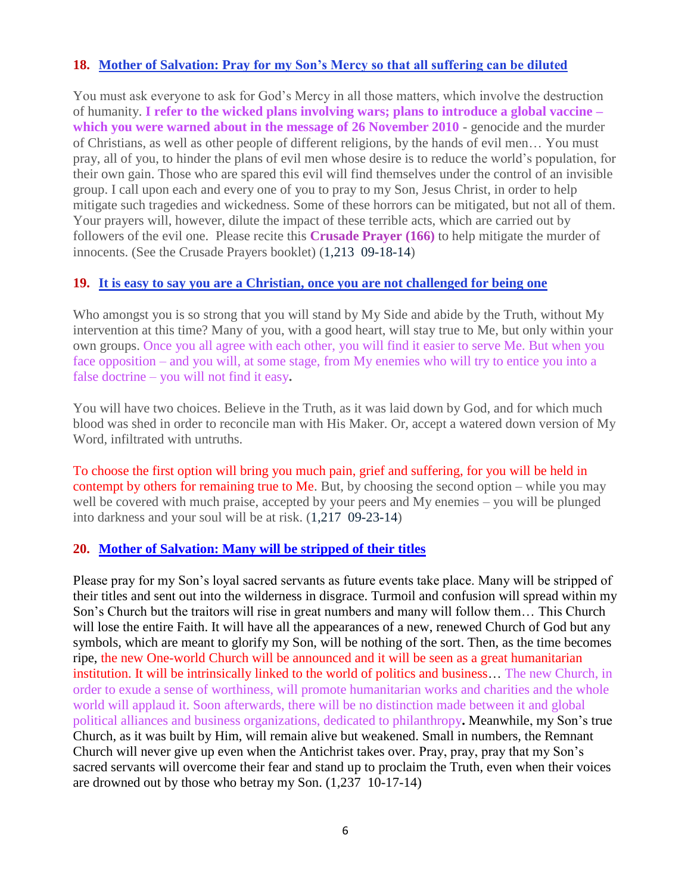## **18. [Mother of Salvation: Pray for my Son's Mercy so that all suffering can be diluted](http://www.thewarningsecondcoming.com/mother-of-salvation-pray-for-my-sons-mercy-so-that-all-suffering-can-be-diluted/)**

You must ask everyone to ask for God's Mercy in all those matters, which involve the destruction of humanity. **I refer to the wicked plans involving wars; plans to introduce a global vaccine – which you were warned about in the message of 26 November 2010** - genocide and the murder of Christians, as well as other people of different religions, by the hands of evil men… You must pray, all of you, to hinder the plans of evil men whose desire is to reduce the world's population, for their own gain. Those who are spared this evil will find themselves under the control of an invisible group. I call upon each and every one of you to pray to my Son, Jesus Christ, in order to help mitigate such tragedies and wickedness. Some of these horrors can be mitigated, but not all of them. Your prayers will, however, dilute the impact of these terrible acts, which are carried out by followers of the evil one. Please recite this **Crusade Prayer (166)** to help mitigate the murder of innocents. (See the Crusade Prayers booklet) (1,213 09-18-14)

## **19. [It is easy to say you are a Christian, once you are not challenged for being one](http://www.thewarningsecondcoming.com/it-is-easy-to-say-you-are-a-christian-once-you-are-not-challenged-for-being-one/)**

Who amongst you is so strong that you will stand by My Side and abide by the Truth, without My intervention at this time? Many of you, with a good heart, will stay true to Me, but only within your own groups. Once you all agree with each other, you will find it easier to serve Me. But when you face opposition – and you will, at some stage, from My enemies who will try to entice you into a false doctrine – you will not find it easy**.**

You will have two choices. Believe in the Truth, as it was laid down by God, and for which much blood was shed in order to reconcile man with His Maker. Or, accept a watered down version of My Word, infiltrated with untruths.

To choose the first option will bring you much pain, grief and suffering, for you will be held in contempt by others for remaining true to Me. But, by choosing the second option – while you may well be covered with much praise, accepted by your peers and My enemies – you will be plunged into darkness and your soul will be at risk. (1,217 09-23-14)

## **20. Mother of [Salvation: Many will be stripped of their titles](http://www.thewarningsecondcoming.com/mother-of-salvation-many-will-be-stripped-of-their-titles/)**

Please pray for my Son's loyal sacred servants as future events take place. Many will be stripped of their titles and sent out into the wilderness in disgrace. Turmoil and confusion will spread within my Son's Church but the traitors will rise in great numbers and many will follow them… This Church will lose the entire Faith. It will have all the appearances of a new, renewed Church of God but any symbols, which are meant to glorify my Son, will be nothing of the sort. Then, as the time becomes ripe, the new One-world Church will be announced and it will be seen as a great humanitarian institution. It will be intrinsically linked to the world of politics and business… The new Church, in order to exude a sense of worthiness, will promote humanitarian works and charities and the whole world will applaud it. Soon afterwards, there will be no distinction made between it and global political alliances and business organizations, dedicated to philanthropy**.** Meanwhile, my Son's true Church, as it was built by Him, will remain alive but weakened. Small in numbers, the Remnant Church will never give up even when the Antichrist takes over. Pray, pray, pray that my Son's sacred servants will overcome their fear and stand up to proclaim the Truth, even when their voices are drowned out by those who betray my Son. (1,237 10-17-14)